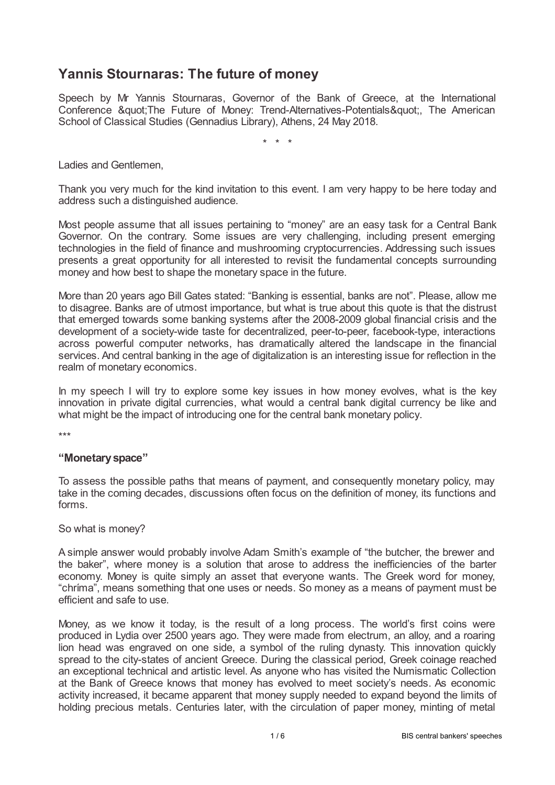# **Yannis Stournaras: The future of money**

Speech by Mr Yannis Stournaras, Governor of the Bank of Greece, at the International Conference " The Future of Money: Trend-Alternatives-Potentials ", The American School of Classical Studies (Gennadius Library), Athens, 24 May 2018.

\* \* \*

Ladies and Gentlemen,

Thank you very much for the kind invitation to this event. I am very happy to be here today and address such a distinguished audience.

Most people assume that all issues pertaining to "money" are an easy task for a Central Bank Governor. On the contrary. Some issues are very challenging, including present emerging technologies in the field of finance and mushrooming cryptocurrencies. Addressing such issues presents a great opportunity for all interested to revisit the fundamental concepts surrounding money and how best to shape the monetary space in the future.

More than 20 years ago Bill Gates stated: "Banking is essential, banks are not". Please, allow me to disagree. Banks are of utmost importance, but what is true about this quote is that the distrust that emerged towards some banking systems after the 2008-2009 global financial crisis and the development of a society-wide taste for decentralized, peer-to-peer, facebook-type, interactions across powerful computer networks, has dramatically altered the landscape in the financial services. And central banking in the age of digitalization is an interesting issue for reflection in the realm of monetary economics.

In my speech I will try to explore some key issues in how money evolves, what is the key innovation in private digital currencies, what would a central bank digital currency be like and what might be the impact of introducing one for the central bank monetary policy.

\*\*\*

#### **"Monetaryspace"**

To assess the possible paths that means of payment, and consequently monetary policy, may take in the coming decades, discussions often focus on the definition of money, its functions and forms.

So what is money?

A simple answer would probably involve Adam Smith's example of "the butcher, the brewer and the baker", where money is a solution that arose to address the inefficiencies of the barter economy. Money is quite simply an asset that everyone wants. The Greek word for money, "chríma", means something that one uses or needs. So money as a means of payment must be efficient and safe to use.

Money, as we know it today, is the result of a long process. The world's first coins were produced in Lydia over 2500 years ago. They were made from electrum, an alloy, and a roaring lion head was engraved on one side, a symbol of the ruling dynasty. This innovation quickly spread to the city-states of ancient Greece. During the classical period, Greek coinage reached an exceptional technical and artistic level. As anyone who has visited the Numismatic Collection at the Bank of Greece knows that money has evolved to meet society's needs. As economic activity increased, it became apparent that money supply needed to expand beyond the limits of holding precious metals. Centuries later, with the circulation of paper money, minting of metal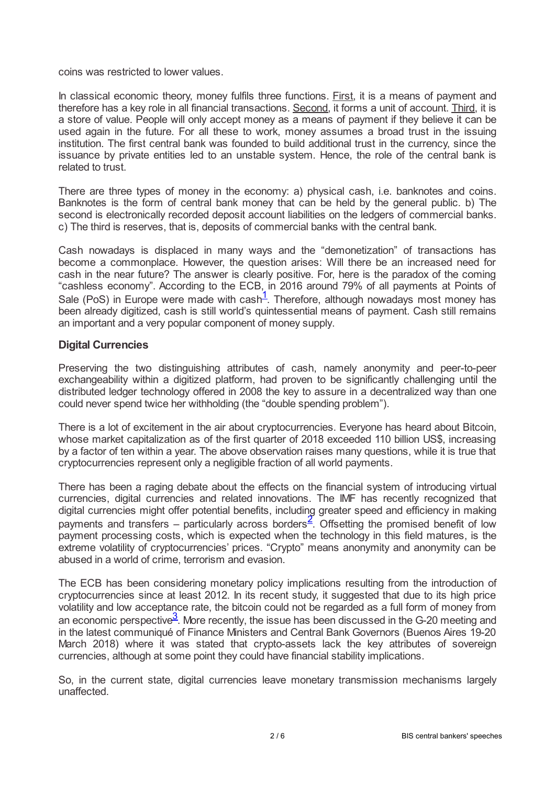coins was restricted to lower values.

In classical economic theory, money fulfils three functions. First, it is a means of payment and therefore has a key role in all financial transactions. Second, it forms a unit of account. Third, it is a store of value. People will only accept money as a means of payment if they believe it can be used again in the future. For all these to work, money assumes a broad trust in the issuing institution. The first central bank was founded to build additional trust in the currency, since the issuance by private entities led to an unstable system. Hence, the role of the central bank is related to trust.

There are three types of money in the economy: a) physical cash, i.e. banknotes and coins. Banknotes is the form of central bank money that can be held by the general public. b) The second is electronically recorded deposit account liabilities on the ledgers of commercial banks. c) The third is reserves, that is, deposits of commercial banks with the central bank.

Cash nowadays is displaced in many ways and the "demonetization" of transactions has become a commonplace. However, the question arises: Will there be an increased need for cash in the near future? The answer is clearly positive. For, here is the paradox of the coming "cashless economy". According to the ECB, in 2016 around 79% of all payments at Points of Sale (PoS) in Europe were made with cash<sup>[1](#page-4-0)</sup>. Therefore, although nowadays most money has been already digitized, cash is still world's quintessential means of payment. Cash still remains an important and a very popular component of money supply.

#### <span id="page-1-0"></span>**Digital Currencies**

Preserving the two distinguishing attributes of cash, namely anonymity and peer-to-peer exchangeability within a digitized platform, had proven to be significantly challenging until the distributed ledger technology offered in 2008 the key to assure in a decentralized way than one could never spend twice her withholding (the "double spending problem").

There is a lot of excitement in the air about cryptocurrencies. Everyone has heard about Bitcoin, whose market capitalization as of the first quarter of 2018 exceeded 110 billion US\$, increasing by a factor of ten within a year. The above observation raises many questions, while it is true that cryptocurrencies represent only a negligible fraction of all world payments.

<span id="page-1-1"></span>There has been a raging debate about the effects on the financial system of introducing virtual currencies, digital currencies and related innovations. The IMF has recently recognized that digital currencies might offer potential benefits, including greater speed and efficiency in making payments and transfers – particularly across borders<sup>[2](#page-4-1)</sup>. Offsetting the promised benefit of low payment processing costs, which is expected when the technology in this field matures, is the extreme volatility of cryptocurrencies' prices. "Crypto" means anonymity and anonymity can be abused in a world of crime, terrorism and evasion.

<span id="page-1-2"></span>The ECB has been considering monetary policy implications resulting from the introduction of cryptocurrencies since at least 2012. In its recent study, it suggested that due to its high price volatility and low acceptance rate, the bitcoin could not be regarded as a full form of money from an economic perspective  $3$ . More recently, the issue has been discussed in the G-20 meeting and in the latest communiqué of Finance Ministers and Central Bank Governors (Buenos Aires 19-20 March 2018) where it was stated that crypto-assets lack the key attributes of sovereign currencies, although at some point they could have financial stability implications.

So, in the current state, digital currencies leave monetary transmission mechanisms largely unaffected.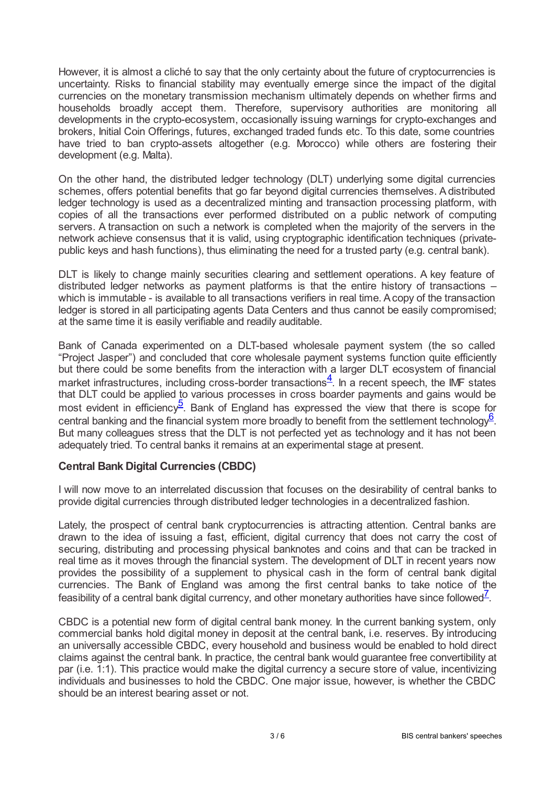However, it is almost a cliché to say that the only certainty about the future of cryptocurrencies is uncertainty. Risks to financial stability may eventually emerge since the impact of the digital currencies on the monetary transmission mechanism ultimately depends on whether firms and households broadly accept them. Therefore, supervisory authorities are monitoring all developments in the crypto-ecosystem, occasionally issuing warnings for crypto-exchanges and brokers, Initial Coin Offerings, futures, exchanged traded funds etc. To this date, some countries have tried to ban crypto-assets altogether (e.g. Morocco) while others are fostering their development (e.g. Malta).

On the other hand, the distributed ledger technology (DLT) underlying some digital currencies schemes, offers potential benefits that go far beyond digital currencies themselves. Adistributed ledger technology is used as a decentralized minting and transaction processing platform, with copies of all the transactions ever performed distributed on a public network of computing servers. A transaction on such a network is completed when the majority of the servers in the network achieve consensus that it is valid, using cryptographic identification techniques (privatepublic keys and hash functions), thus eliminating the need for a trusted party (e.g. central bank).

DLT is likely to change mainly securities clearing and settlement operations. A key feature of distributed ledger networks as payment platforms is that the entire history of transactions – which is immutable - is available to all transactions verifiers in real time. Acopy of the transaction ledger is stored in all participating agents Data Centers and thus cannot be easily compromised; at the same time it is easily verifiable and readily auditable.

<span id="page-2-0"></span>Bank of Canada experimented on a DLT-based wholesale payment system (the so called "Project Jasper") and concluded that core wholesale payment systems function quite efficiently but there could be some benefits from the interaction with a larger DLT ecosystem of financial market infrastructures, including cross-border transactions $\frac{4}{1}$  $\frac{4}{1}$  $\frac{4}{1}$ . In a recent speech, the IMF states that DLT could be applied to various processes in cross boarder payments and gains would be most evident in efficiency<sup>[5](#page-4-4)</sup>. Bank of England has expressed the view that there is scope for central banking and the financial system more broadly to benefit from the settlement technology  $6$ . But many colleagues stress that the DLT is not perfected yet as technology and it has not been adequately tried. To central banks it remains at an experimental stage at present.

### <span id="page-2-2"></span><span id="page-2-1"></span>**Central Bank Digital Currencies (CBDC)**

I will now move to an interrelated discussion that focuses on the desirability of central banks to provide digital currencies through distributed ledger technologies in a decentralized fashion.

Lately, the prospect of central bank cryptocurrencies is attracting attention. Central banks are drawn to the idea of issuing a fast, efficient, digital currency that does not carry the cost of securing, distributing and processing physical banknotes and coins and that can be tracked in real time as it moves through the financial system. The development of DLT in recent years now provides the possibility of a supplement to physical cash in the form of central bank digital currencies. The Bank of England was among the first central banks to take notice of the feasibility of a central bank digital currency, and other monetary authorities have since followed<sup>Z</sup>.

<span id="page-2-3"></span>CBDC is a potential new form of digital central bank money. In the current banking system, only commercial banks hold digital money in deposit at the central bank, i.e. reserves. By introducing an universally accessible CBDC, every household and business would be enabled to hold direct claims against the central bank. In practice, the central bank would guarantee free convertibility at par (i.e. 1:1). This practice would make the digital currency a secure store of value, incentivizing individuals and businesses to hold the CBDC. One major issue, however, is whether the CBDC should be an interest bearing asset or not.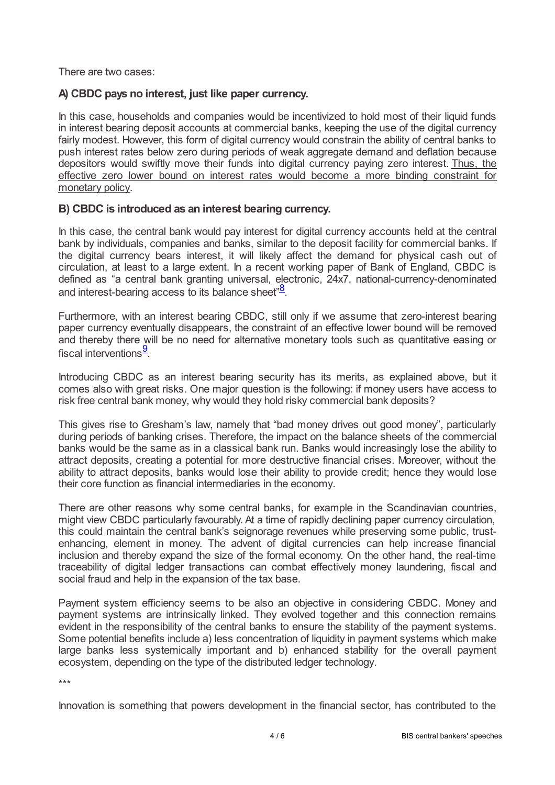There are two cases:

## **A) CBDC pays no interest, just like paper currency.**

In this case, households and companies would be incentivized to hold most of their liquid funds in interest bearing deposit accounts at commercial banks, keeping the use of the digital currency fairly modest. However, this form of digital currency would constrain the ability of central banks to push interest rates below zero during periods of weak aggregate demand and deflation because depositors would swiftly move their funds into digital currency paying zero interest. Thus, the effective zero lower bound on interest rates would become a more binding constraint for monetary policy.

### **B) CBDC is introduced as an interest bearing currency.**

In this case, the central bank would pay interest for digital currency accounts held at the central bank by individuals, companies and banks, similar to the deposit facility for commercial banks. If the digital currency bears interest, it will likely affect the demand for physical cash out of circulation, at least to a large extent. In a recent working paper of Bank of England, CBDC is defined as "a central bank granting universal, electronic, 24x7, national-currency-denominated and interest-bearing access to its balance sheet" $\frac{8}{3}$  $\frac{8}{3}$  $\frac{8}{3}$ .

<span id="page-3-0"></span>Furthermore, with an interest bearing CBDC, still only if we assume that zero-interest bearing paper currency eventually disappears, the constraint of an effective lower bound will be removed and thereby there will be no need for alternative monetary tools such as quantitative easing or fiscal interventions $\frac{9}{2}$  $\frac{9}{2}$  $\frac{9}{2}$ .

<span id="page-3-1"></span>Introducing CBDC as an interest bearing security has its merits, as explained above, but it comes also with great risks. One major question is the following: if money users have access to risk free central bank money, why would they hold risky commercial bank deposits?

This gives rise to Gresham's law, namely that "bad money drives out good money", particularly during periods of banking crises. Therefore, the impact on the balance sheets of the commercial banks would be the same as in a classical bank run. Banks would increasingly lose the ability to attract deposits, creating a potential for more destructive financial crises. Moreover, without the ability to attract deposits, banks would lose their ability to provide credit; hence they would lose their core function as financial intermediaries in the economy.

There are other reasons why some central banks, for example in the Scandinavian countries, might view CBDC particularly favourably. At a time of rapidly declining paper currency circulation, this could maintain the central bank's seignorage revenues while preserving some public, trustenhancing, element in money. The advent of digital currencies can help increase financial inclusion and thereby expand the size of the formal economy. On the other hand, the real-time traceability of digital ledger transactions can combat effectively money laundering, fiscal and social fraud and help in the expansion of the tax base.

Payment system efficiency seems to be also an objective in considering CBDC. Money and payment systems are intrinsically linked. They evolved together and this connection remains evident in the responsibility of the central banks to ensure the stability of the payment systems. Some potential benefits include a) less concentration of liquidity in payment systems which make large banks less systemically important and b) enhanced stability for the overall payment ecosystem, depending on the type of the distributed ledger technology.

\*\*\*

Innovation is something that powers development in the financial sector, has contributed to the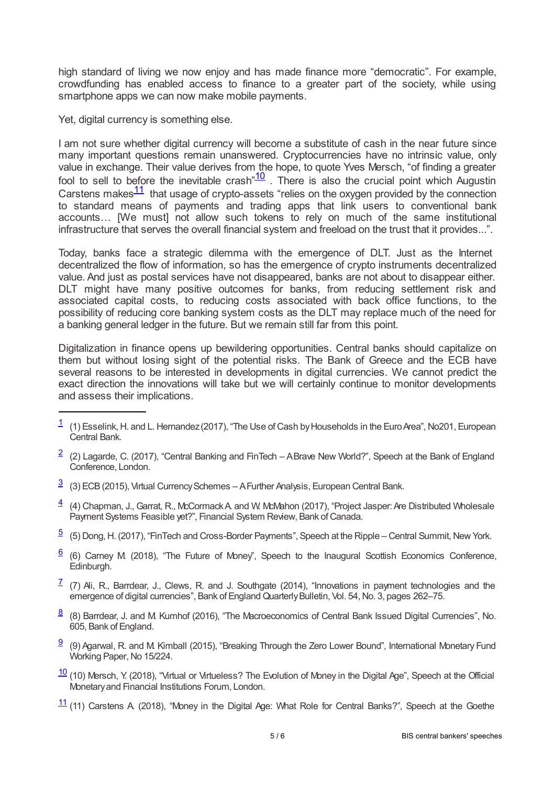high standard of living we now enjoy and has made finance more "democratic". For example, crowdfunding has enabled access to finance to a greater part of the society, while using smartphone apps we can now make mobile payments.

Yet, digital currency is something else.

<span id="page-4-12"></span><span id="page-4-11"></span>I am not sure whether digital currency will become a substitute of cash in the near future since many important questions remain unanswered. Cryptocurrencies have no intrinsic value, only value in exchange. Their value derives from the hope, to quote Yves Mersch, "of finding a greater fool to sell to before the inevitable crash<sup>"[10](#page-4-9)</sup>. There is also the crucial point which Augustin Carstens makes $\frac{11}{1}$  $\frac{11}{1}$  $\frac{11}{1}$  that usage of crypto-assets "relies on the oxygen provided by the connection to standard means of payments and trading apps that link users to conventional bank accounts… [We must] not allow such tokens to rely on much of the same institutional infrastructure that serves the overall financial system and freeload on the trust that it provides...".

Today, banks face a strategic dilemma with the emergence of DLT. Just as the Internet decentralized the flow of information, so has the emergence of crypto instruments decentralized value. And just as postal services have not disappeared, banks are not about to disappear either. DLT might have many positive outcomes for banks, from reducing settlement risk and associated capital costs, to reducing costs associated with back office functions, to the possibility of reducing core banking system costs as the DLT may replace much of the need for a banking general ledger in the future. But we remain still far from this point.

Digitalization in finance opens up bewildering opportunities. Central banks should capitalize on them but without losing sight of the potential risks. The Bank of Greece and the ECB have several reasons to be interested in developments in digital currencies. We cannot predict the exact direction the innovations will take but we will certainly continue to monitor developments and assess their implications.

- <span id="page-4-1"></span> $\frac{2}{3}$  $\frac{2}{3}$  $\frac{2}{3}$  (2) Lagarde, C. (2017), "Central Banking and FinTech – A Brave New World?", Speech at the Bank of England Conference, London.
- <span id="page-4-2"></span> $\frac{3}{2}$  $\frac{3}{2}$  $\frac{3}{2}$  (3) ECB (2015), Virtual Currency Schemes – A Further Analysis, European Central Bank.
- <span id="page-4-3"></span> $\frac{4}{5}$  $\frac{4}{5}$  $\frac{4}{5}$  (4) Chapman, J., Garrat, R., McCormack A and W. McMahon (2017), "Project Jasper: Are Distributed Wholesale Payment Systems Feasible yet?", Financial System Review, Bank of Canada.
- <span id="page-4-4"></span> $\frac{5}{2}$  $\frac{5}{2}$  $\frac{5}{2}$  (5) Dong, H. (2017), "FinTech and Cross-Border Payments", Speech at the Ripple – Central Summit, New York.
- <span id="page-4-5"></span> $6$  (6) Carney M (2018), "The Future of Money", Speech to the Inaugural Scottish Economics Conference, Edinburgh.
- <span id="page-4-6"></span> $\frac{7}{1}$  $\frac{7}{1}$  $\frac{7}{1}$  (7) Ali, R., Barrdear, J., Clews, R. and J. Southgate (2014), "Innovations in payment technologies and the emergence of digital currencies", Bank of England Quarterly Bulletin, Vol. 54, No. 3, pages 262-75.
- <span id="page-4-7"></span> $\frac{8}{6}$  $\frac{8}{6}$  $\frac{8}{6}$  (8) Barrdear, J. and M. Kumhof (2016), "The Macroeconomics of Central Bank Issued Digital Currencies", No. 605, Bank of England.
- <span id="page-4-8"></span> $\frac{9}{2}$  $\frac{9}{2}$  $\frac{9}{2}$  (9) Agarwal, R. and M. Kimball (2015), "Breaking Through the Zero Lower Bound", International Monetary Fund Working Paper, No 15/224.
- <span id="page-4-9"></span> $\frac{10}{10}$  $\frac{10}{10}$  $\frac{10}{10}$  (10) Mersch, Y. (2018), "Virtual or Virtueless? The Evolution of Money in the Digital Age", Speech at the Official Monetaryand Financial Institutions Forum, London.
- <span id="page-4-10"></span> $\frac{11}{1}$  $\frac{11}{1}$  $\frac{11}{1}$  (11) Carstens A (2018), "Money in the Digital Age: What Role for Central Banks?", Speech at the Goethe

<span id="page-4-0"></span> $\frac{1}{1}$  $\frac{1}{1}$  $\frac{1}{1}$  (1) Esselink, H. and L. Hernandez (2017), "The Use of Cash by Households in the Euro Area", No201, European Central Bank.